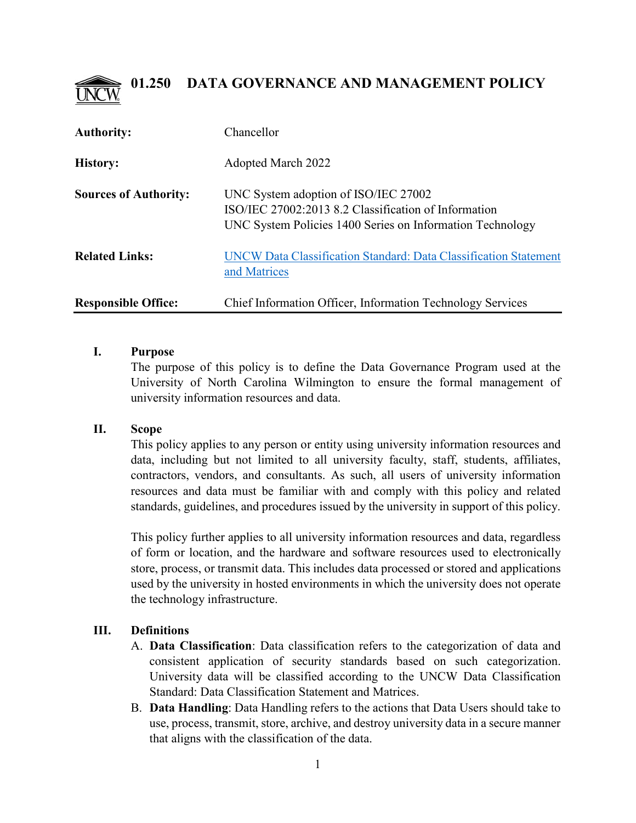

| <b>Authority:</b>            | Chancellor                                                                                                                                                |
|------------------------------|-----------------------------------------------------------------------------------------------------------------------------------------------------------|
| <b>History:</b>              | <b>Adopted March 2022</b>                                                                                                                                 |
| <b>Sources of Authority:</b> | UNC System adoption of ISO/IEC 27002<br>ISO/IEC 27002:2013 8.2 Classification of Information<br>UNC System Policies 1400 Series on Information Technology |
| <b>Related Links:</b>        | UNCW Data Classification Standard: Data Classification Statement<br>and Matrices                                                                          |
| <b>Responsible Office:</b>   | Chief Information Officer, Information Technology Services                                                                                                |

### **I. Purpose**

The purpose of this policy is to define the Data Governance Program used at the University of North Carolina Wilmington to ensure the formal management of university information resources and data.

# **II. Scope**

This policy applies to any person or entity using university information resources and data, including but not limited to all university faculty, staff, students, affiliates, contractors, vendors, and consultants. As such, all users of university information resources and data must be familiar with and comply with this policy and related standards, guidelines, and procedures issued by the university in support of this policy.

This policy further applies to all university information resources and data, regardless of form or location, and the hardware and software resources used to electronically store, process, or transmit data. This includes data processed or stored and applications used by the university in hosted environments in which the university does not operate the technology infrastructure.

# **III. Definitions**

- A. **Data Classification**: Data classification refers to the categorization of data and consistent application of security standards based on such categorization. University data will be classified according to the UNCW Data Classification Standard: Data Classification Statement and Matrices.
- B. **Data Handling**: Data Handling refers to the actions that Data Users should take to use, process, transmit, store, archive, and destroy university data in a secure manner that aligns with the classification of the data.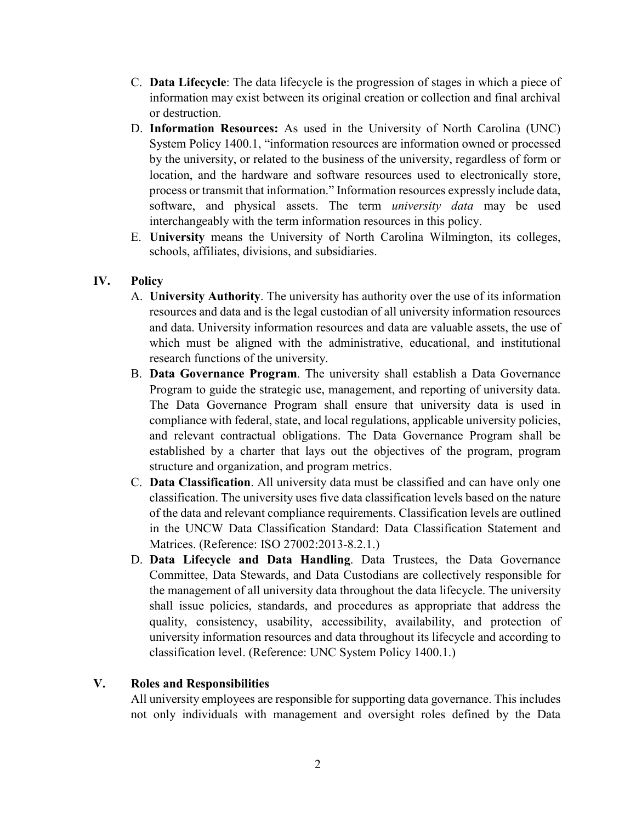- C. **Data Lifecycle**: The data lifecycle is the progression of stages in which a piece of information may exist between its original creation or collection and final archival or destruction.
- D. **Information Resources:** As used in the University of North Carolina (UNC) System Policy 1400.1, "information resources are information owned or processed by the university, or related to the business of the university, regardless of form or location, and the hardware and software resources used to electronically store, process or transmit that information." Information resources expressly include data, software, and physical assets. The term *university data* may be used interchangeably with the term information resources in this policy.
- E. **University** means the University of North Carolina Wilmington, its colleges, schools, affiliates, divisions, and subsidiaries.

# **IV. Policy**

- A. **University Authority**. The university has authority over the use of its information resources and data and is the legal custodian of all university information resources and data. University information resources and data are valuable assets, the use of which must be aligned with the administrative, educational, and institutional research functions of the university.
- B. **Data Governance Program**. The university shall establish a Data Governance Program to guide the strategic use, management, and reporting of university data. The Data Governance Program shall ensure that university data is used in compliance with federal, state, and local regulations, applicable university policies, and relevant contractual obligations. The Data Governance Program shall be established by a charter that lays out the objectives of the program, program structure and organization, and program metrics.
- C. **Data Classification**. All university data must be classified and can have only one classification. The university uses five data classification levels based on the nature of the data and relevant compliance requirements. Classification levels are outlined in the UNCW Data Classification Standard: Data Classification Statement and Matrices. (Reference: ISO 27002:2013-8.2.1.)
- D. **Data Lifecycle and Data Handling**. Data Trustees, the Data Governance Committee, Data Stewards, and Data Custodians are collectively responsible for the management of all university data throughout the data lifecycle. The university shall issue policies, standards, and procedures as appropriate that address the quality, consistency, usability, accessibility, availability, and protection of university information resources and data throughout its lifecycle and according to classification level. (Reference: UNC System Policy 1400.1.)

# **V. Roles and Responsibilities**

All university employees are responsible for supporting data governance. This includes not only individuals with management and oversight roles defined by the Data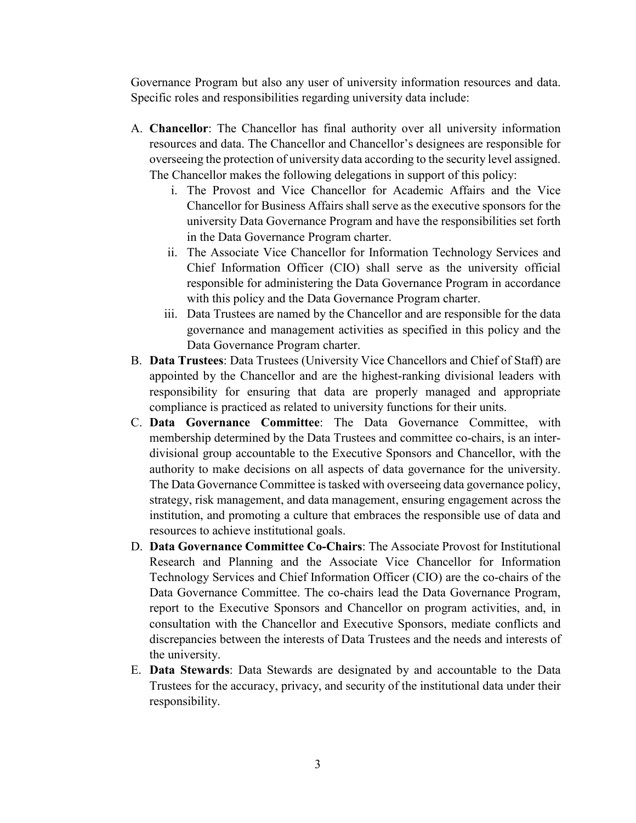Governance Program but also any user of university information resources and data. Specific roles and responsibilities regarding university data include:

- A. **Chancellor**: The Chancellor has final authority over all university information resources and data. The Chancellor and Chancellor's designees are responsible for overseeing the protection of university data according to the security level assigned. The Chancellor makes the following delegations in support of this policy:
	- i. The Provost and Vice Chancellor for Academic Affairs and the Vice Chancellor for Business Affairs shall serve as the executive sponsors for the university Data Governance Program and have the responsibilities set forth in the Data Governance Program charter.
	- ii. The Associate Vice Chancellor for Information Technology Services and Chief Information Officer (CIO) shall serve as the university official responsible for administering the Data Governance Program in accordance with this policy and the Data Governance Program charter.
	- iii. Data Trustees are named by the Chancellor and are responsible for the data governance and management activities as specified in this policy and the Data Governance Program charter.
- B. **Data Trustees**: Data Trustees (University Vice Chancellors and Chief of Staff) are appointed by the Chancellor and are the highest-ranking divisional leaders with responsibility for ensuring that data are properly managed and appropriate compliance is practiced as related to university functions for their units.
- C. **Data Governance Committee**: The Data Governance Committee, with membership determined by the Data Trustees and committee co-chairs, is an interdivisional group accountable to the Executive Sponsors and Chancellor, with the authority to make decisions on all aspects of data governance for the university. The Data Governance Committee is tasked with overseeing data governance policy, strategy, risk management, and data management, ensuring engagement across the institution, and promoting a culture that embraces the responsible use of data and resources to achieve institutional goals.
- D. **Data Governance Committee Co-Chairs**: The Associate Provost for Institutional Research and Planning and the Associate Vice Chancellor for Information Technology Services and Chief Information Officer (CIO) are the co-chairs of the Data Governance Committee. The co-chairs lead the Data Governance Program, report to the Executive Sponsors and Chancellor on program activities, and, in consultation with the Chancellor and Executive Sponsors, mediate conflicts and discrepancies between the interests of Data Trustees and the needs and interests of the university.
- E. **Data Stewards**: Data Stewards are designated by and accountable to the Data Trustees for the accuracy, privacy, and security of the institutional data under their responsibility.